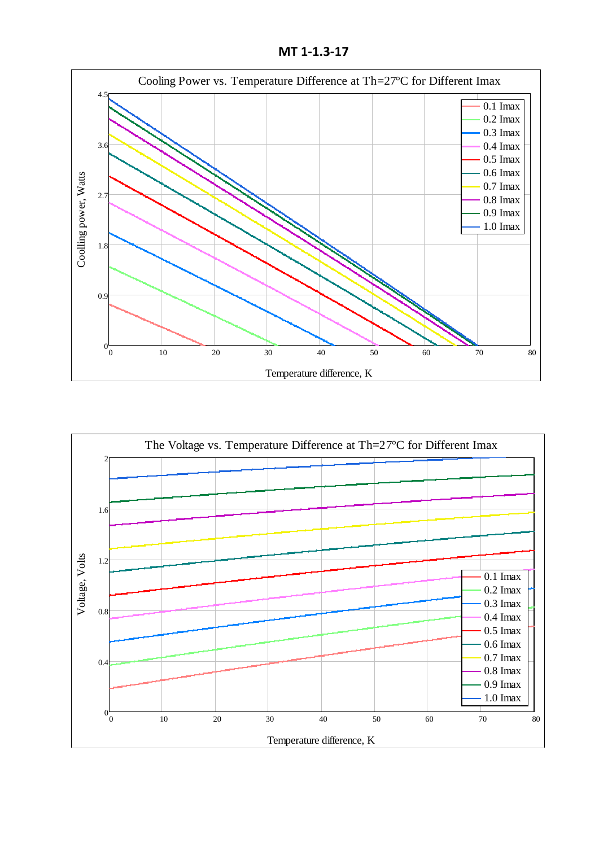**MT 1-1.3-17**